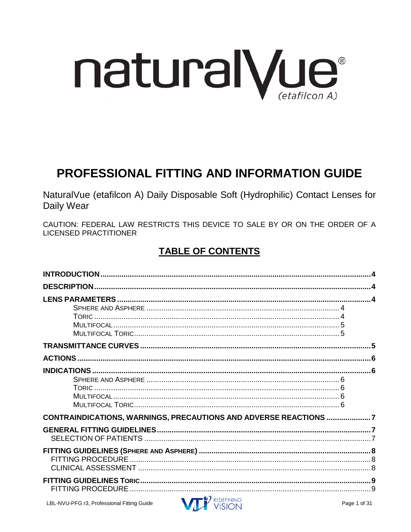

# **PROFESSIONAL FITTING AND INFORMATION GUIDE**

NaturalVue (etafilcon A) Daily Disposable Soft (Hydrophilic) Contact Lenses for Daily Wear

CAUTION: FEDERAL LAW RESTRICTS THIS DEVICE TO SALE BY OR ON THE ORDER OF A **LICENSED PRACTITIONER** 

# **TABLE OF CONTENTS**

| CONTRAINDICATIONS, WARNINGS, PRECAUTIONS AND ADVERSE REACTIONS 7 |  |
|------------------------------------------------------------------|--|
|                                                                  |  |
|                                                                  |  |
|                                                                  |  |
|                                                                  |  |

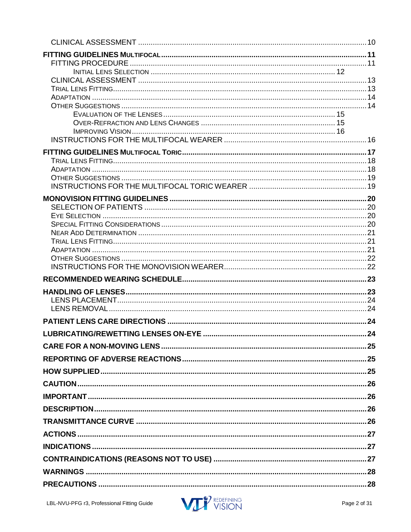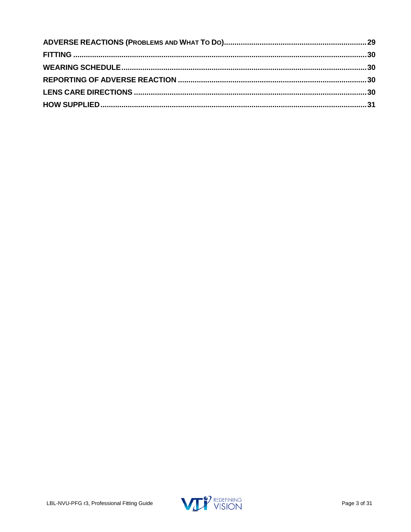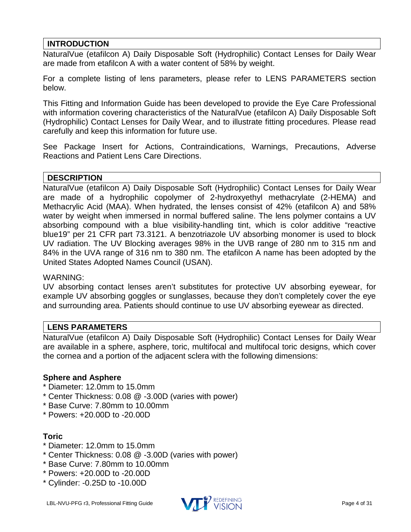# <span id="page-3-0"></span>**INTRODUCTION**

NaturalVue (etafilcon A) Daily Disposable Soft (Hydrophilic) Contact Lenses for Daily Wear are made from etafilcon A with a water content of 58% by weight.

For a complete listing of lens parameters, please refer to LENS PARAMETERS section below.

This Fitting and Information Guide has been developed to provide the Eye Care Professional with information covering characteristics of the NaturalVue (etafilcon A) Daily Disposable Soft (Hydrophilic) Contact Lenses for Daily Wear, and to illustrate fitting procedures. Please read carefully and keep this information for future use.

See Package Insert for Actions, Contraindications, Warnings, Precautions, Adverse Reactions and Patient Lens Care Directions.

# <span id="page-3-1"></span>**DESCRIPTION**

NaturalVue (etafilcon A) Daily Disposable Soft (Hydrophilic) Contact Lenses for Daily Wear are made of a hydrophilic copolymer of 2-hydroxyethyl methacrylate (2-HEMA) and Methacrylic Acid (MAA). When hydrated, the lenses consist of 42% (etafilcon A) and 58% water by weight when immersed in normal buffered saline. The lens polymer contains a UV absorbing compound with a blue visibility-handling tint, which is color additive "reactive blue19" per 21 CFR part 73.3121. A benzotriazole UV absorbing monomer is used to block UV radiation. The UV Blocking averages 98% in the UVB range of 280 nm to 315 nm and 84% in the UVA range of 316 nm to 380 nm. The etafilcon A name has been adopted by the United States Adopted Names Council (USAN).

#### WARNING:

UV absorbing contact lenses aren't substitutes for protective UV absorbing eyewear, for example UV absorbing goggles or sunglasses, because they don't completely cover the eye and surrounding area. Patients should continue to use UV absorbing eyewear as directed.

# <span id="page-3-2"></span>**LENS PARAMETERS**

NaturalVue (etafilcon A) Daily Disposable Soft (Hydrophilic) Contact Lenses for Daily Wear are available in a sphere, asphere, toric, multifocal and multifocal toric designs, which cover the cornea and a portion of the adjacent sclera with the following dimensions:

### <span id="page-3-3"></span>**Sphere and Asphere**

- \* Diameter: 12.0mm to 15.0mm
- \* Center Thickness: 0.08 @ -3.00D (varies with power)
- \* Base Curve: 7.80mm to 10.00mm
- \* Powers: +20.00D to -20.00D

# <span id="page-3-4"></span>**Toric**

- \* Diameter: 12.0mm to 15.0mm
- \* Center Thickness: 0.08 @ -3.00D (varies with power)
- \* Base Curve: 7.80mm to 10.00mm
- \* Powers: +20.00D to -20.00D
- \* Cylinder: -0.25D to -10.00D

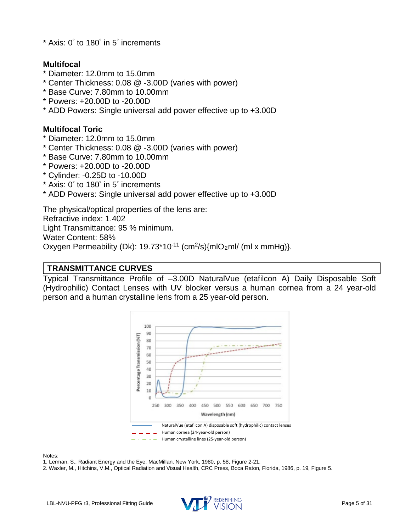\* Axis: 0° to 180° in 5° increments

# <span id="page-4-0"></span>**Multifocal**

- \* Diameter: 12.0mm to 15.0mm
- \* Center Thickness: 0.08 @ -3.00D (varies with power)
- \* Base Curve: 7.80mm to 10.00mm
- \* Powers: +20.00D to -20.00D
- \* ADD Powers: Single universal add power effective up to +3.00D

# <span id="page-4-1"></span>**Multifocal Toric**

- \* Diameter: 12.0mm to 15.0mm
- \* Center Thickness: 0.08 @ -3.00D (varies with power)
- \* Base Curve: 7.80mm to 10.00mm
- \* Powers: +20.00D to -20.00D
- \* Cylinder: -0.25D to -10.00D
- \* Axis: 0° to 180° in 5° increments
- \* ADD Powers: Single universal add power effective up to +3.00D

The physical/optical properties of the lens are:

Refractive index: 1.402

Light Transmittance: 95 % minimum.

Water Content: 58%

Oxygen Permeability (Dk):  $19.73*10<sup>-11</sup>$  (cm<sup>2</sup>/s){mlO<sub>2</sub>ml/ (ml x mmHg)}.

# <span id="page-4-2"></span>**TRANSMITTANCE CURVES**

Typical Transmittance Profile of –3.00D NaturalVue (etafilcon A) Daily Disposable Soft (Hydrophilic) Contact Lenses with UV blocker versus a human cornea from a 24 year-old person and a human crystalline lens from a 25 year-old person.



Notes:

1. Lerman, S., Radiant Energy and the Eye, MacMillan, New York, 1980, p. 58, Figure 2-21.

2. Waxler, M., Hitchins, V.M., Optical Radiation and Visual Health, CRC Press, Boca Raton, Florida, 1986, p. 19, Figure 5.

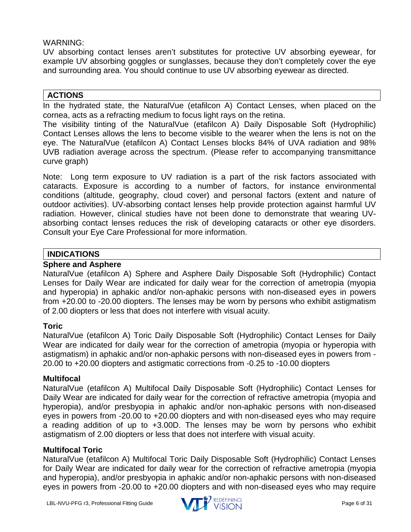# WARNING:

UV absorbing contact lenses aren't substitutes for protective UV absorbing eyewear, for example UV absorbing goggles or sunglasses, because they don't completely cover the eye and surrounding area. You should continue to use UV absorbing eyewear as directed.

# <span id="page-5-0"></span>**ACTIONS**

In the hydrated state, the NaturalVue (etafilcon A) Contact Lenses, when placed on the cornea, acts as a refracting medium to focus light rays on the retina.

The visibility tinting of the NaturalVue (etafilcon A) Daily Disposable Soft (Hydrophilic) Contact Lenses allows the lens to become visible to the wearer when the lens is not on the eye. The NaturalVue (etafilcon A) Contact Lenses blocks 84% of UVA radiation and 98% UVB radiation average across the spectrum. (Please refer to accompanying transmittance curve graph)

Note: Long term exposure to UV radiation is a part of the risk factors associated with cataracts. Exposure is according to a number of factors, for instance environmental conditions (altitude, geography, cloud cover) and personal factors (extent and nature of outdoor activities). UV-absorbing contact lenses help provide protection against harmful UV radiation. However, clinical studies have not been done to demonstrate that wearing UVabsorbing contact lenses reduces the risk of developing cataracts or other eye disorders. Consult your Eye Care Professional for more information.

# <span id="page-5-1"></span>**INDICATIONS**

# <span id="page-5-2"></span>**Sphere and Asphere**

NaturalVue (etafilcon A) Sphere and Asphere Daily Disposable Soft (Hydrophilic) Contact Lenses for Daily Wear are indicated for daily wear for the correction of ametropia (myopia and hyperopia) in aphakic and/or non-aphakic persons with non-diseased eyes in powers from +20.00 to -20.00 diopters. The lenses may be worn by persons who exhibit astigmatism of 2.00 diopters or less that does not interfere with visual acuity.

# <span id="page-5-3"></span>**Toric**

NaturalVue (etafilcon A) Toric Daily Disposable Soft (Hydrophilic) Contact Lenses for Daily Wear are indicated for daily wear for the correction of ametropia (myopia or hyperopia with astigmatism) in aphakic and/or non-aphakic persons with non-diseased eyes in powers from - 20.00 to +20.00 diopters and astigmatic corrections from -0.25 to -10.00 diopters

# <span id="page-5-4"></span>**Multifocal**

NaturalVue (etafilcon A) Multifocal Daily Disposable Soft (Hydrophilic) Contact Lenses for Daily Wear are indicated for daily wear for the correction of refractive ametropia (myopia and hyperopia), and/or presbyopia in aphakic and/or non-aphakic persons with non-diseased eyes in powers from -20.00 to +20.00 diopters and with non-diseased eyes who may require a reading addition of up to +3.00D. The lenses may be worn by persons who exhibit astigmatism of 2.00 diopters or less that does not interfere with visual acuity.

# <span id="page-5-5"></span>**Multifocal Toric**

NaturalVue (etafilcon A) Multifocal Toric Daily Disposable Soft (Hydrophilic) Contact Lenses for Daily Wear are indicated for daily wear for the correction of refractive ametropia (myopia and hyperopia), and/or presbyopia in aphakic and/or non-aphakic persons with non-diseased eyes in powers from -20.00 to +20.00 diopters and with non-diseased eyes who may require

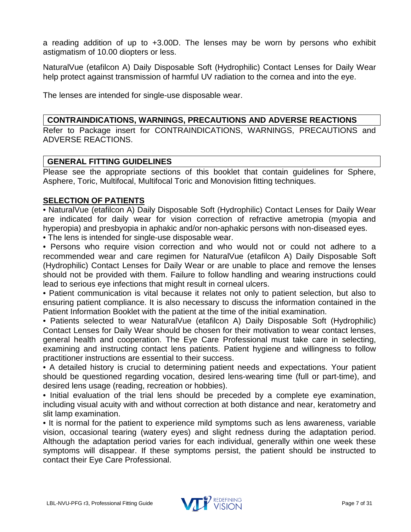a reading addition of up to +3.00D. The lenses may be worn by persons who exhibit astigmatism of 10.00 diopters or less.

NaturalVue (etafilcon A) Daily Disposable Soft (Hydrophilic) Contact Lenses for Daily Wear help protect against transmission of harmful UV radiation to the cornea and into the eye.

The lenses are intended for single-use disposable wear.

# <span id="page-6-0"></span>**CONTRAINDICATIONS, WARNINGS, PRECAUTIONS AND ADVERSE REACTIONS**

Refer to Package insert for CONTRAINDICATIONS, WARNINGS, PRECAUTIONS and ADVERSE REACTIONS.

# <span id="page-6-1"></span>**GENERAL FITTING GUIDELINES**

Please see the appropriate sections of this booklet that contain guidelines for Sphere, Asphere, Toric, Multifocal, Multifocal Toric and Monovision fitting techniques.

# <span id="page-6-2"></span>**SELECTION OF PATIENTS**

• NaturalVue (etafilcon A) Daily Disposable Soft (Hydrophilic) Contact Lenses for Daily Wear are indicated for daily wear for vision correction of refractive ametropia (myopia and hyperopia) and presbyopia in aphakic and/or non-aphakic persons with non-diseased eyes.

• The lens is intended for single-use disposable wear.

• Persons who require vision correction and who would not or could not adhere to a recommended wear and care regimen for NaturalVue (etafilcon A) Daily Disposable Soft (Hydrophilic) Contact Lenses for Daily Wear or are unable to place and remove the lenses should not be provided with them. Failure to follow handling and wearing instructions could lead to serious eye infections that might result in corneal ulcers.

• Patient communication is vital because it relates not only to patient selection, but also to ensuring patient compliance. It is also necessary to discuss the information contained in the Patient Information Booklet with the patient at the time of the initial examination.

• Patients selected to wear NaturalVue (etafilcon A) Daily Disposable Soft (Hydrophilic) Contact Lenses for Daily Wear should be chosen for their motivation to wear contact lenses, general health and cooperation. The Eye Care Professional must take care in selecting, examining and instructing contact lens patients. Patient hygiene and willingness to follow practitioner instructions are essential to their success.

• A detailed history is crucial to determining patient needs and expectations. Your patient should be questioned regarding vocation, desired lens-wearing time (full or part-time), and desired lens usage (reading, recreation or hobbies).

• Initial evaluation of the trial lens should be preceded by a complete eye examination, including visual acuity with and without correction at both distance and near, keratometry and slit lamp examination.

• It is normal for the patient to experience mild symptoms such as lens awareness, variable vision, occasional tearing (watery eyes) and slight redness during the adaptation period. Although the adaptation period varies for each individual, generally within one week these symptoms will disappear. If these symptoms persist, the patient should be instructed to contact their Eye Care Professional.

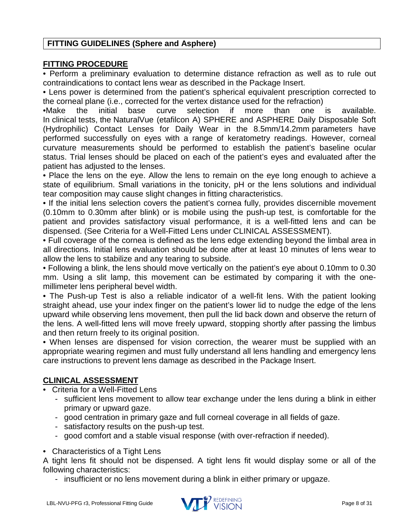# <span id="page-7-0"></span>**FITTING GUIDELINES (Sphere and Asphere)**

### <span id="page-7-1"></span>**FITTING PROCEDURE**

• Perform a preliminary evaluation to determine distance refraction as well as to rule out contraindications to contact lens wear as described in the Package Insert.

• Lens power is determined from the patient's spherical equivalent prescription corrected to the corneal plane (i.e., corrected for the vertex distance used for the refraction)

•Make the initial base curve selection if more than one is available. In clinical tests, the NaturalVue (etafilcon A) SPHERE and ASPHERE Daily Disposable Soft (Hydrophilic) Contact Lenses for Daily Wear in the 8.5mm/14.2mm parameters have performed successfully on eyes with a range of keratometry readings. However, corneal curvature measurements should be performed to establish the patient's baseline ocular status. Trial lenses should be placed on each of the patient's eyes and evaluated after the patient has adjusted to the lenses.

• Place the lens on the eye. Allow the lens to remain on the eye long enough to achieve a state of equilibrium. Small variations in the tonicity, pH or the lens solutions and individual tear composition may cause slight changes in fitting characteristics.

• If the initial lens selection covers the patient's cornea fully, provides discernible movement (0.10mm to 0.30mm after blink) or is mobile using the push-up test, is comfortable for the patient and provides satisfactory visual performance, it is a well-fitted lens and can be dispensed. (See Criteria for a Well-Fitted Lens under CLINICAL ASSESSMENT).

• Full coverage of the cornea is defined as the lens edge extending beyond the limbal area in all directions. Initial lens evaluation should be done after at least 10 minutes of lens wear to allow the lens to stabilize and any tearing to subside.

• Following a blink, the lens should move vertically on the patient's eye about 0.10mm to 0.30 mm. Using a slit lamp, this movement can be estimated by comparing it with the onemillimeter lens peripheral bevel width.

• The Push-up Test is also a reliable indicator of a well-fit lens. With the patient looking straight ahead, use your index finger on the patient's lower lid to nudge the edge of the lens upward while observing lens movement, then pull the lid back down and observe the return of the lens. A well-fitted lens will move freely upward, stopping shortly after passing the limbus and then return freely to its original position.

• When lenses are dispensed for vision correction, the wearer must be supplied with an appropriate wearing regimen and must fully understand all lens handling and emergency lens care instructions to prevent lens damage as described in the Package Insert.

# <span id="page-7-2"></span>**CLINICAL ASSESSMENT**

- Criteria for a Well-Fitted Lens
	- sufficient lens movement to allow tear exchange under the lens during a blink in either primary or upward gaze.
	- good centration in primary gaze and full corneal coverage in all fields of gaze.
	- satisfactory results on the push-up test.
	- good comfort and a stable visual response (with over-refraction if needed).
- Characteristics of a Tight Lens

A tight lens fit should not be dispensed. A tight lens fit would display some or all of the following characteristics:

- insufficient or no lens movement during a blink in either primary or upgaze.

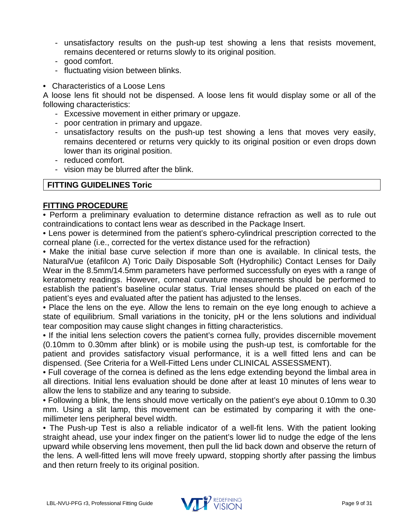- unsatisfactory results on the push-up test showing a lens that resists movement, remains decentered or returns slowly to its original position.
- good comfort.
- fluctuating vision between blinks.
- Characteristics of a Loose Lens

A loose lens fit should not be dispensed. A loose lens fit would display some or all of the following characteristics:

- Excessive movement in either primary or upgaze.
- poor centration in primary and upgaze.
- unsatisfactory results on the push-up test showing a lens that moves very easily, remains decentered or returns very quickly to its original position or even drops down lower than its original position.
- reduced comfort.
- vision may be blurred after the blink.

### <span id="page-8-0"></span>**FITTING GUIDELINES Toric**

### <span id="page-8-1"></span>**FITTING PROCEDURE**

• Perform a preliminary evaluation to determine distance refraction as well as to rule out contraindications to contact lens wear as described in the Package Insert.

• Lens power is determined from the patient's sphero-cylindrical prescription corrected to the corneal plane (i.e., corrected for the vertex distance used for the refraction)

• Make the initial base curve selection if more than one is available. In clinical tests, the NaturalVue (etafilcon A) Toric Daily Disposable Soft (Hydrophilic) Contact Lenses for Daily Wear in the 8.5mm/14.5mm parameters have performed successfully on eyes with a range of keratometry readings. However, corneal curvature measurements should be performed to establish the patient's baseline ocular status. Trial lenses should be placed on each of the patient's eyes and evaluated after the patient has adjusted to the lenses.

• Place the lens on the eye. Allow the lens to remain on the eye long enough to achieve a state of equilibrium. Small variations in the tonicity, pH or the lens solutions and individual tear composition may cause slight changes in fitting characteristics.

• If the initial lens selection covers the patient's cornea fully, provides discernible movement (0.10mm to 0.30mm after blink) or is mobile using the push-up test, is comfortable for the patient and provides satisfactory visual performance, it is a well fitted lens and can be dispensed. (See Criteria for a Well-Fitted Lens under CLINICAL ASSESSMENT).

• Full coverage of the cornea is defined as the lens edge extending beyond the limbal area in all directions. Initial lens evaluation should be done after at least 10 minutes of lens wear to allow the lens to stabilize and any tearing to subside.

• Following a blink, the lens should move vertically on the patient's eye about 0.10mm to 0.30 mm. Using a slit lamp, this movement can be estimated by comparing it with the onemillimeter lens peripheral bevel width.

• The Push-up Test is also a reliable indicator of a well-fit lens. With the patient looking straight ahead, use your index finger on the patient's lower lid to nudge the edge of the lens upward while observing lens movement, then pull the lid back down and observe the return of the lens. A well-fitted lens will move freely upward, stopping shortly after passing the limbus and then return freely to its original position.

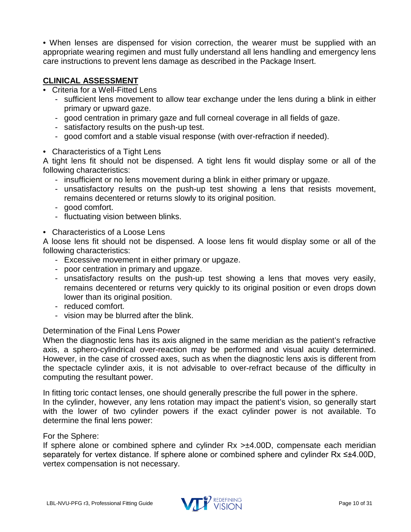• When lenses are dispensed for vision correction, the wearer must be supplied with an appropriate wearing regimen and must fully understand all lens handling and emergency lens care instructions to prevent lens damage as described in the Package Insert.

# <span id="page-9-0"></span>**CLINICAL ASSESSMENT**

- Criteria for a Well-Fitted Lens
	- sufficient lens movement to allow tear exchange under the lens during a blink in either primary or upward gaze.
	- good centration in primary gaze and full corneal coverage in all fields of gaze.
	- satisfactory results on the push-up test.
	- good comfort and a stable visual response (with over-refraction if needed).
- Characteristics of a Tight Lens

A tight lens fit should not be dispensed. A tight lens fit would display some or all of the following characteristics:

- insufficient or no lens movement during a blink in either primary or upgaze.
- unsatisfactory results on the push-up test showing a lens that resists movement, remains decentered or returns slowly to its original position.
- good comfort.
- fluctuating vision between blinks.
- Characteristics of a Loose Lens

A loose lens fit should not be dispensed. A loose lens fit would display some or all of the following characteristics:

- Excessive movement in either primary or upgaze.
- poor centration in primary and upgaze.
- unsatisfactory results on the push-up test showing a lens that moves very easily, remains decentered or returns very quickly to its original position or even drops down lower than its original position.
- reduced comfort.
- vision may be blurred after the blink.

# Determination of the Final Lens Power

When the diagnostic lens has its axis aligned in the same meridian as the patient's refractive axis, a sphero-cylindrical over-reaction may be performed and visual acuity determined. However, in the case of crossed axes, such as when the diagnostic lens axis is different from the spectacle cylinder axis, it is not advisable to over-refract because of the difficulty in computing the resultant power.

In fitting toric contact lenses, one should generally prescribe the full power in the sphere. In the cylinder, however, any lens rotation may impact the patient's vision, so generally start with the lower of two cylinder powers if the exact cylinder power is not available. To determine the final lens power:

### For the Sphere:

If sphere alone or combined sphere and cylinder Rx >±4.00D, compensate each meridian separately for vertex distance. If sphere alone or combined sphere and cylinder Rx ≤±4.00D, vertex compensation is not necessary.

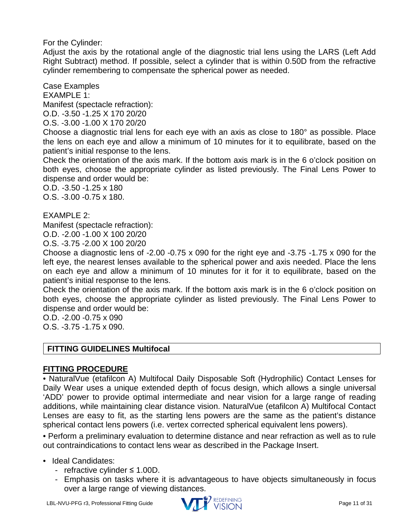For the Cylinder:

Adjust the axis by the rotational angle of the diagnostic trial lens using the LARS (Left Add Right Subtract) method. If possible, select a cylinder that is within 0.50D from the refractive cylinder remembering to compensate the spherical power as needed.

Case Examples EXAMPLE 1: Manifest (spectacle refraction): O.D. -3.50 -1.25 X 170 20/20

O.S. -3.00 -1.00 X 170 20/20

Choose a diagnostic trial lens for each eye with an axis as close to 180° as possible. Place the lens on each eye and allow a minimum of 10 minutes for it to equilibrate, based on the patient's initial response to the lens.

Check the orientation of the axis mark. If the bottom axis mark is in the 6 o'clock position on both eyes, choose the appropriate cylinder as listed previously. The Final Lens Power to dispense and order would be:

O.D. -3.50 -1.25 x 180 O.S. -3.00 -0.75 x 180.

EXAMPLE 2:

Manifest (spectacle refraction):

O.D. -2.00 -1.00 X 100 20/20

O.S. -3.75 -2.00 X 100 20/20

Choose a diagnostic lens of -2.00 -0.75 x 090 for the right eye and -3.75 -1.75 x 090 for the left eye, the nearest lenses available to the spherical power and axis needed. Place the lens on each eye and allow a minimum of 10 minutes for it for it to equilibrate, based on the patient's initial response to the lens.

Check the orientation of the axis mark. If the bottom axis mark is in the 6 o'clock position on both eyes, choose the appropriate cylinder as listed previously. The Final Lens Power to dispense and order would be:

O.D. -2.00 -0.75 x 090 O.S. -3.75 -1.75 x 090.

# <span id="page-10-0"></span>**FITTING GUIDELINES Multifocal**

# <span id="page-10-1"></span>**FITTING PROCEDURE**

• NaturalVue (etafilcon A) Multifocal Daily Disposable Soft (Hydrophilic) Contact Lenses for Daily Wear uses a unique extended depth of focus design, which allows a single universal 'ADD' power to provide optimal intermediate and near vision for a large range of reading additions, while maintaining clear distance vision. NaturalVue (etafilcon A) Multifocal Contact Lenses are easy to fit, as the starting lens powers are the same as the patient's distance spherical contact lens powers (i.e. vertex corrected spherical equivalent lens powers).

• Perform a preliminary evaluation to determine distance and near refraction as well as to rule out contraindications to contact lens wear as described in the Package Insert.

# • Ideal Candidates:

- refractive cylinder ≤ 1.00D.
- Emphasis on tasks where it is advantageous to have objects simultaneously in focus over a large range of viewing distances.

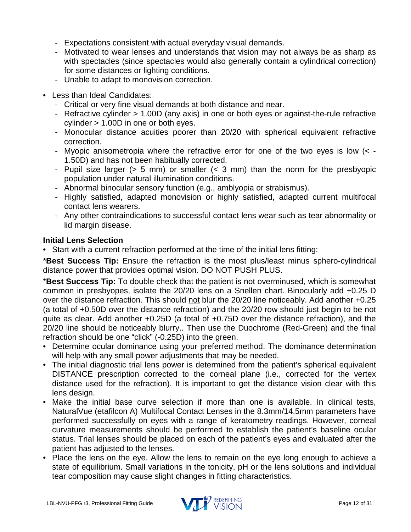- Expectations consistent with actual everyday visual demands.
- Motivated to wear lenses and understands that vision may not always be as sharp as with spectacles (since spectacles would also generally contain a cylindrical correction) for some distances or lighting conditions.
- Unable to adapt to monovision correction.
- Less than Ideal Candidates:
	- Critical or very fine visual demands at both distance and near.
	- Refractive cylinder > 1.00D (any axis) in one or both eyes or against-the-rule refractive cylinder > 1.00D in one or both eyes.
	- Monocular distance acuities poorer than 20/20 with spherical equivalent refractive correction.
	- Myopic anisometropia where the refractive error for one of the two eyes is low (< 1.50D) and has not been habitually corrected.
	- Pupil size larger (> 5 mm) or smaller (< 3 mm) than the norm for the presbyopic population under natural illumination conditions.
	- Abnormal binocular sensory function (e.g., amblyopia or strabismus).
	- Highly satisfied, adapted monovision or highly satisfied, adapted current multifocal contact lens wearers.
	- Any other contraindications to successful contact lens wear such as tear abnormality or lid margin disease.

# <span id="page-11-0"></span>**Initial Lens Selection**

• Start with a current refraction performed at the time of the initial lens fitting:

\***Best Success Tip:** Ensure the refraction is the most plus/least minus sphero-cylindrical distance power that provides optimal vision. DO NOT PUSH PLUS.

\***Best Success Tip:** To double check that the patient is not overminused, which is somewhat common in presbyopes, isolate the 20/20 lens on a Snellen chart. Binocularly add +0.25 D over the distance refraction. This should not blur the 20/20 line noticeably. Add another +0.25 (a total of +0.50D over the distance refraction) and the 20/20 row should just begin to be not quite as clear. Add another +0.25D (a total of +0.75D over the distance refraction), and the 20/20 line should be noticeably blurry.. Then use the Duochrome (Red-Green) and the final refraction should be one "click" (-0.25D) into the green.

- Determine ocular dominance using your preferred method. The dominance determination will help with any small power adjustments that may be needed.
- The initial diagnostic trial lens power is determined from the patient's spherical equivalent DISTANCE prescription corrected to the corneal plane (i.e., corrected for the vertex distance used for the refraction). It is important to get the distance vision clear with this lens design.
- Make the initial base curve selection if more than one is available. In clinical tests, NaturalVue (etafilcon A) Multifocal Contact Lenses in the 8.3mm/14.5mm parameters have performed successfully on eyes with a range of keratometry readings. However, corneal curvature measurements should be performed to establish the patient's baseline ocular status. Trial lenses should be placed on each of the patient's eyes and evaluated after the patient has adjusted to the lenses.
- Place the lens on the eye. Allow the lens to remain on the eye long enough to achieve a state of equilibrium. Small variations in the tonicity, pH or the lens solutions and individual tear composition may cause slight changes in fitting characteristics.

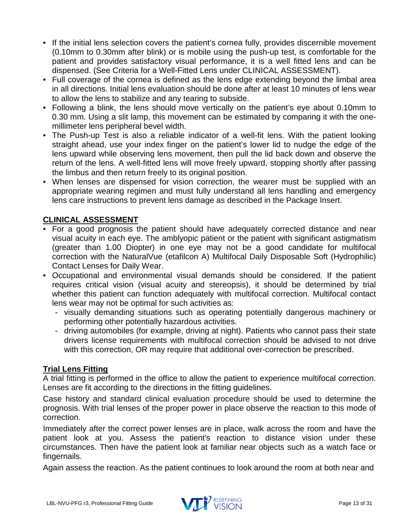- If the initial lens selection covers the patient's cornea fully, provides discernible movement (0.10mm to 0.30mm after blink) or is mobile using the push-up test, is comfortable for the patient and provides satisfactory visual performance, it is a well fitted lens and can be dispensed. (See Criteria for a Well-Fitted Lens under CLINICAL ASSESSMENT).
- Full coverage of the cornea is defined as the lens edge extending beyond the limbal area in all directions. Initial lens evaluation should be done after at least 10 minutes of lens wear to allow the lens to stabilize and any tearing to subside.
- Following a blink, the lens should move vertically on the patient's eye about 0.10mm to 0.30 mm. Using a slit lamp, this movement can be estimated by comparing it with the onemillimeter lens peripheral bevel width.
- The Push-up Test is also a reliable indicator of a well-fit lens. With the patient looking straight ahead, use your index finger on the patient's lower lid to nudge the edge of the lens upward while observing lens movement, then pull the lid back down and observe the return of the lens. A well-fitted lens will move freely upward, stopping shortly after passing the limbus and then return freely to its original position.
- When lenses are dispensed for vision correction, the wearer must be supplied with an appropriate wearing regimen and must fully understand all lens handling and emergency lens care instructions to prevent lens damage as described in the Package Insert.

# <span id="page-12-0"></span>**CLINICAL ASSESSMENT**

- For a good prognosis the patient should have adequately corrected distance and near visual acuity in each eye. The amblyopic patient or the patient with significant astigmatism (greater than 1.00 Diopter) in one eye may not be a good candidate for multifocal correction with the NaturalVue (etafilcon A) Multifocal Daily Disposable Soft (Hydrophilic) Contact Lenses for Daily Wear.
- Occupational and environmental visual demands should be considered. If the patient requires critical vision (visual acuity and stereopsis), it should be determined by trial whether this patient can function adequately with multifocal correction. Multifocal contact lens wear may not be optimal for such activities as:
	- visually demanding situations such as operating potentially dangerous machinery or performing other potentially hazardous activities.
	- driving automobiles (for example, driving at night). Patients who cannot pass their state drivers license requirements with multifocal correction should be advised to not drive with this correction, OR may require that additional over-correction be prescribed.

# <span id="page-12-1"></span>**Trial Lens Fitting**

A trial fitting is performed in the office to allow the patient to experience multifocal correction. Lenses are fit according to the directions in the fitting guidelines.

Case history and standard clinical evaluation procedure should be used to determine the prognosis. With trial lenses of the proper power in place observe the reaction to this mode of correction.

Immediately after the correct power lenses are in place, walk across the room and have the patient look at you. Assess the patient's reaction to distance vision under these circumstances. Then have the patient look at familiar near objects such as a watch face or fingernails.

Again assess the reaction. As the patient continues to look around the room at both near and

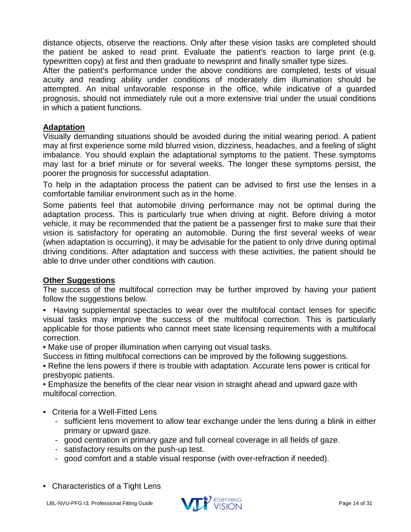distance objects, observe the reactions. Only after these vision tasks are completed should the patient be asked to read print. Evaluate the patient's reaction to large print (e.g. typewritten copy) at first and then graduate to newsprint and finally smaller type sizes.

After the patient's performance under the above conditions are completed, tests of visual acuity and reading ability under conditions of moderately dim illumination should be attempted. An initial unfavorable response in the office, while indicative of a guarded prognosis, should not immediately rule out a more extensive trial under the usual conditions in which a patient functions.

# <span id="page-13-0"></span>**Adaptation**

Visually demanding situations should be avoided during the initial wearing period. A patient may at first experience some mild blurred vision, dizziness, headaches, and a feeling of slight imbalance. You should explain the adaptational symptoms to the patient. These symptoms may last for a brief minute or for several weeks. The longer these symptoms persist, the poorer the prognosis for successful adaptation.

To help in the adaptation process the patient can be advised to first use the lenses in a comfortable familiar environment such as in the home.

Some patients feel that automobile driving performance may not be optimal during the adaptation process. This is particularly true when driving at night. Before driving a motor vehicle, it may be recommended that the patient be a passenger first to make sure that their vision is satisfactory for operating an automobile. During the first several weeks of wear (when adaptation is occurring), it may be advisable for the patient to only drive during optimal driving conditions. After adaptation and success with these activities, the patient should be able to drive under other conditions with caution.

# <span id="page-13-1"></span>**Other Suggestions**

The success of the multifocal correction may be further improved by having your patient follow the suggestions below.

• Having supplemental spectacles to wear over the multifocal contact lenses for specific visual tasks may improve the success of the multifocal correction. This is particularly applicable for those patients who cannot meet state licensing requirements with a multifocal correction.

• Make use of proper illumination when carrying out visual tasks.

Success in fitting multifocal corrections can be improved by the following suggestions.

• Refine the lens powers if there is trouble with adaptation. Accurate lens power is critical for presbyopic patients.

• Emphasize the benefits of the clear near vision in straight ahead and upward gaze with multifocal correction.

- Criteria for a Well-Fitted Lens
	- sufficient lens movement to allow tear exchange under the lens during a blink in either primary or upward gaze.
	- good centration in primary gaze and full corneal coverage in all fields of gaze.
	- satisfactory results on the push-up test.
	- good comfort and a stable visual response (with over-refraction if needed).
- Characteristics of a Tight Lens

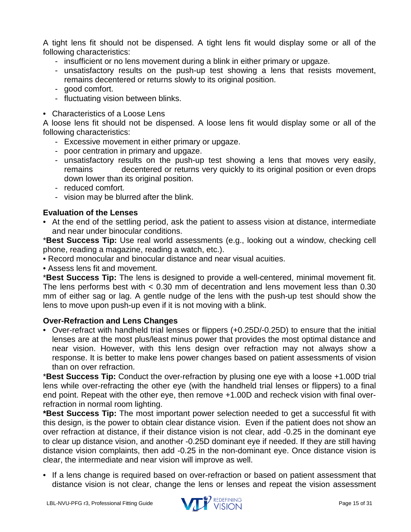A tight lens fit should not be dispensed. A tight lens fit would display some or all of the following characteristics:

- insufficient or no lens movement during a blink in either primary or upgaze.
- unsatisfactory results on the push-up test showing a lens that resists movement, remains decentered or returns slowly to its original position.
- good comfort.
- fluctuating vision between blinks.
- Characteristics of a Loose Lens

A loose lens fit should not be dispensed. A loose lens fit would display some or all of the following characteristics:

- Excessive movement in either primary or upgaze.
- poor centration in primary and upgaze.
- unsatisfactory results on the push-up test showing a lens that moves very easily, remains decentered or returns very quickly to its original position or even drops down lower than its original position.
- reduced comfort.
- vision may be blurred after the blink.

# <span id="page-14-0"></span>**Evaluation of the Lenses**

• At the end of the settling period, ask the patient to assess vision at distance, intermediate and near under binocular conditions.

\***Best Success Tip:** Use real world assessments (e.g., looking out a window, checking cell phone, reading a magazine, reading a watch, etc.).

- Record monocular and binocular distance and near visual acuities.
- Assess lens fit and movement.

\***Best Success Tip:** The lens is designed to provide a well-centered, minimal movement fit. The lens performs best with < 0.30 mm of decentration and lens movement less than 0.30 mm of either sag or lag. A gentle nudge of the lens with the push-up test should show the lens to move upon push-up even if it is not moving with a blink.

# <span id="page-14-1"></span>**Over-Refraction and Lens Changes**

• Over-refract with handheld trial lenses or flippers (+0.25D/-0.25D) to ensure that the initial lenses are at the most plus/least minus power that provides the most optimal distance and near vision. However, with this lens design over refraction may not always show a response. It is better to make lens power changes based on patient assessments of vision than on over refraction.

\***Best Success Tip:** Conduct the over-refraction by plusing one eye with a loose +1.00D trial lens while over-refracting the other eye (with the handheld trial lenses or flippers) to a final end point. Repeat with the other eye, then remove +1.00D and recheck vision with final overrefraction in normal room lighting.

**\*Best Success Tip:** The most important power selection needed to get a successful fit with this design, is the power to obtain clear distance vision. Even if the patient does not show an over refraction at distance, if their distance vision is not clear, add -0.25 in the dominant eye to clear up distance vision, and another -0.25D dominant eye if needed. If they are still having distance vision complaints, then add -0.25 in the non-dominant eye. Once distance vision is clear, the intermediate and near vision will improve as well.

• If a lens change is required based on over-refraction or based on patient assessment that distance vision is not clear, change the lens or lenses and repeat the vision assessment

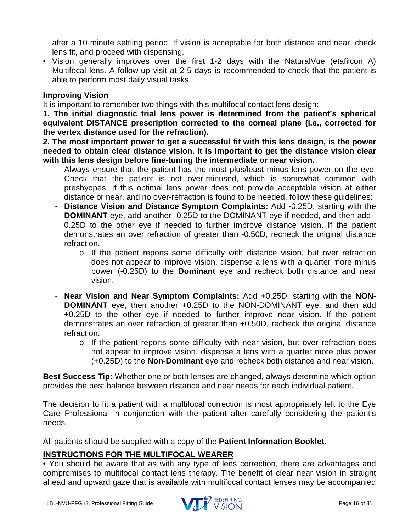after a 10 minute settling period. If vision is acceptable for both distance and near, check lens fit, and proceed with dispensing.

• Vision generally improves over the first 1-2 days with the NaturalVue (etafilcon A) Multifocal lens. A follow-up visit at 2-5 days is recommended to check that the patient is able to perform most daily visual tasks.

# <span id="page-15-0"></span>**Improving Vision**

It is important to remember two things with this multifocal contact lens design:

**1. The initial diagnostic trial lens power is determined from the patient's spherical equivalent DISTANCE prescription corrected to the corneal plane (i.e., corrected for the vertex distance used for the refraction).** 

**2. The most important power to get a successful fit with this lens design, is the power needed to obtain clear distance vision. It is important to get the distance vision clear with this lens design before fine-tuning the intermediate or near vision.**

- Always ensure that the patient has the most plus/least minus lens power on the eye. Check that the patient is not over-minused, which is somewhat common with presbyopes. If this optimal lens power does not provide acceptable vision at either distance or near, and no over-refraction is found to be needed, follow these guidelines:
- **Distance Vision and Distance Symptom Complaints:** Add -0.25D, starting with the **DOMINANT** eye, add another -0.25D to the DOMINANT eye if needed, and then add - 0.25D to the other eye if needed to further improve distance vision. If the patient demonstrates an over refraction of greater than -0.50D, recheck the original distance refraction.
	- o If the patient reports some difficulty with distance vision, but over refraction does not appear to improve vision, dispense a lens with a quarter more minus power (-0.25D) to the **Dominant** eye and recheck both distance and near vision.
- **Near Vision and Near Symptom Complaints:** Add +0.25D, starting with the **NON**-**DOMINANT** eye, then another +0.25D to the NON-DOMINANT eye, and then add +0.25D to the other eye if needed to further improve near vision. If the patient demonstrates an over refraction of greater than +0.50D, recheck the original distance refraction.
	- o If the patient reports some difficulty with near vision, but over refraction does not appear to improve vision, dispense a lens with a quarter more plus power (+0.25D) to the **Non-Dominant** eye and recheck both distance and near vision.

**Best Success Tip:** Whether one or both lenses are changed, always determine which option provides the best balance between distance and near needs for each individual patient.

The decision to fit a patient with a multifocal correction is most appropriately left to the Eye Care Professional in conjunction with the patient after carefully considering the patient's needs.

All patients should be supplied with a copy of the **Patient Information Booklet**.

# <span id="page-15-1"></span>**INSTRUCTIONS FOR THE MULTIFOCAL WEARER**

• You should be aware that as with any type of lens correction, there are advantages and compromises to multifocal contact lens therapy. The benefit of clear near vision in straight ahead and upward gaze that is available with multifocal contact lenses may be accompanied

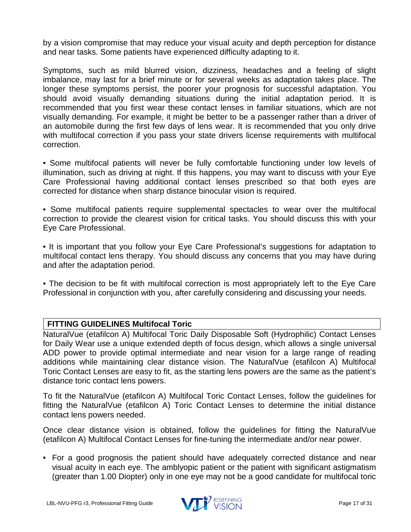by a vision compromise that may reduce your visual acuity and depth perception for distance and near tasks. Some patients have experienced difficulty adapting to it.

Symptoms, such as mild blurred vision, dizziness, headaches and a feeling of slight imbalance, may last for a brief minute or for several weeks as adaptation takes place. The longer these symptoms persist, the poorer your prognosis for successful adaptation. You should avoid visually demanding situations during the initial adaptation period. It is recommended that you first wear these contact lenses in familiar situations, which are not visually demanding. For example, it might be better to be a passenger rather than a driver of an automobile during the first few days of lens wear. It is recommended that you only drive with multifocal correction if you pass your state drivers license requirements with multifocal correction.

• Some multifocal patients will never be fully comfortable functioning under low levels of illumination, such as driving at night. If this happens, you may want to discuss with your Eye Care Professional having additional contact lenses prescribed so that both eyes are corrected for distance when sharp distance binocular vision is required.

• Some multifocal patients require supplemental spectacles to wear over the multifocal correction to provide the clearest vision for critical tasks. You should discuss this with your Eye Care Professional.

• It is important that you follow your Eye Care Professional's suggestions for adaptation to multifocal contact lens therapy. You should discuss any concerns that you may have during and after the adaptation period.

• The decision to be fit with multifocal correction is most appropriately left to the Eye Care Professional in conjunction with you, after carefully considering and discussing your needs.

# <span id="page-16-0"></span>**FITTING GUIDELINES Multifocal Toric**

NaturalVue (etafilcon A) Multifocal Toric Daily Disposable Soft (Hydrophilic) Contact Lenses for Daily Wear use a unique extended depth of focus design, which allows a single universal ADD power to provide optimal intermediate and near vision for a large range of reading additions while maintaining clear distance vision. The NaturalVue (etafilcon A) Multifocal Toric Contact Lenses are easy to fit, as the starting lens powers are the same as the patient's distance toric contact lens powers.

To fit the NaturalVue (etafilcon A) Multifocal Toric Contact Lenses, follow the guidelines for fitting the NaturalVue (etafilcon A) Toric Contact Lenses to determine the initial distance contact lens powers needed.

Once clear distance vision is obtained, follow the guidelines for fitting the NaturalVue (etafilcon A) Multifocal Contact Lenses for fine-tuning the intermediate and/or near power.

• For a good prognosis the patient should have adequately corrected distance and near visual acuity in each eye. The amblyopic patient or the patient with significant astigmatism (greater than 1.00 Diopter) only in one eye may not be a good candidate for multifocal toric

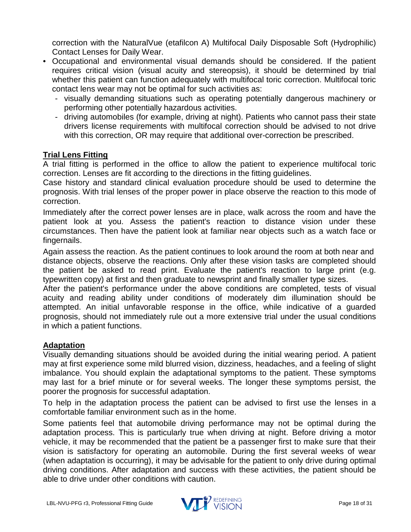correction with the NaturalVue (etafilcon A) Multifocal Daily Disposable Soft (Hydrophilic) Contact Lenses for Daily Wear.

- Occupational and environmental visual demands should be considered. If the patient requires critical vision (visual acuity and stereopsis), it should be determined by trial whether this patient can function adequately with multifocal toric correction. Multifocal toric contact lens wear may not be optimal for such activities as:
	- visually demanding situations such as operating potentially dangerous machinery or performing other potentially hazardous activities.
	- driving automobiles (for example, driving at night). Patients who cannot pass their state drivers license requirements with multifocal correction should be advised to not drive with this correction, OR may require that additional over-correction be prescribed.

# <span id="page-17-0"></span>**Trial Lens Fitting**

A trial fitting is performed in the office to allow the patient to experience multifocal toric correction. Lenses are fit according to the directions in the fitting guidelines.

Case history and standard clinical evaluation procedure should be used to determine the prognosis. With trial lenses of the proper power in place observe the reaction to this mode of correction.

Immediately after the correct power lenses are in place, walk across the room and have the patient look at you. Assess the patient's reaction to distance vision under these circumstances. Then have the patient look at familiar near objects such as a watch face or fingernails.

Again assess the reaction. As the patient continues to look around the room at both near and distance objects, observe the reactions. Only after these vision tasks are completed should the patient be asked to read print. Evaluate the patient's reaction to large print (e.g. typewritten copy) at first and then graduate to newsprint and finally smaller type sizes.

After the patient's performance under the above conditions are completed, tests of visual acuity and reading ability under conditions of moderately dim illumination should be attempted. An initial unfavorable response in the office, while indicative of a guarded prognosis, should not immediately rule out a more extensive trial under the usual conditions in which a patient functions.

# <span id="page-17-1"></span>**Adaptation**

Visually demanding situations should be avoided during the initial wearing period. A patient may at first experience some mild blurred vision, dizziness, headaches, and a feeling of slight imbalance. You should explain the adaptational symptoms to the patient. These symptoms may last for a brief minute or for several weeks. The longer these symptoms persist, the poorer the prognosis for successful adaptation.

To help in the adaptation process the patient can be advised to first use the lenses in a comfortable familiar environment such as in the home.

Some patients feel that automobile driving performance may not be optimal during the adaptation process. This is particularly true when driving at night. Before driving a motor vehicle, it may be recommended that the patient be a passenger first to make sure that their vision is satisfactory for operating an automobile. During the first several weeks of wear (when adaptation is occurring), it may be advisable for the patient to only drive during optimal driving conditions. After adaptation and success with these activities, the patient should be able to drive under other conditions with caution.

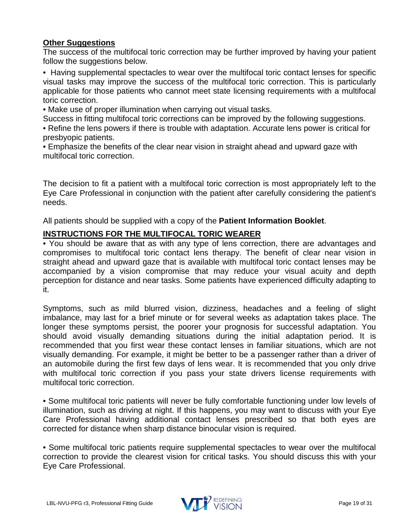# <span id="page-18-0"></span>**Other Suggestions**

The success of the multifocal toric correction may be further improved by having your patient follow the suggestions below.

• Having supplemental spectacles to wear over the multifocal toric contact lenses for specific visual tasks may improve the success of the multifocal toric correction. This is particularly applicable for those patients who cannot meet state licensing requirements with a multifocal toric correction.

• Make use of proper illumination when carrying out visual tasks.

Success in fitting multifocal toric corrections can be improved by the following suggestions.

• Refine the lens powers if there is trouble with adaptation. Accurate lens power is critical for presbyopic patients.

• Emphasize the benefits of the clear near vision in straight ahead and upward gaze with multifocal toric correction.

The decision to fit a patient with a multifocal toric correction is most appropriately left to the Eye Care Professional in conjunction with the patient after carefully considering the patient's needs.

All patients should be supplied with a copy of the **Patient Information Booklet**.

# <span id="page-18-1"></span>**INSTRUCTIONS FOR THE MULTIFOCAL TORIC WEARER**

• You should be aware that as with any type of lens correction, there are advantages and compromises to multifocal toric contact lens therapy. The benefit of clear near vision in straight ahead and upward gaze that is available with multifocal toric contact lenses may be accompanied by a vision compromise that may reduce your visual acuity and depth perception for distance and near tasks. Some patients have experienced difficulty adapting to it.

Symptoms, such as mild blurred vision, dizziness, headaches and a feeling of slight imbalance, may last for a brief minute or for several weeks as adaptation takes place. The longer these symptoms persist, the poorer your prognosis for successful adaptation. You should avoid visually demanding situations during the initial adaptation period. It is recommended that you first wear these contact lenses in familiar situations, which are not visually demanding. For example, it might be better to be a passenger rather than a driver of an automobile during the first few days of lens wear. It is recommended that you only drive with multifocal toric correction if you pass your state drivers license requirements with multifocal toric correction.

• Some multifocal toric patients will never be fully comfortable functioning under low levels of illumination, such as driving at night. If this happens, you may want to discuss with your Eye Care Professional having additional contact lenses prescribed so that both eyes are corrected for distance when sharp distance binocular vision is required.

• Some multifocal toric patients require supplemental spectacles to wear over the multifocal correction to provide the clearest vision for critical tasks. You should discuss this with your Eye Care Professional.

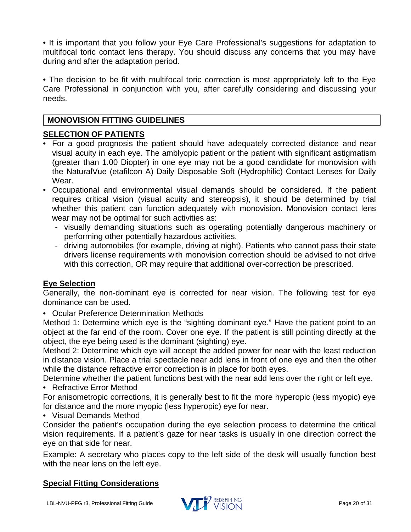• It is important that you follow your Eye Care Professional's suggestions for adaptation to multifocal toric contact lens therapy. You should discuss any concerns that you may have during and after the adaptation period.

• The decision to be fit with multifocal toric correction is most appropriately left to the Eye Care Professional in conjunction with you, after carefully considering and discussing your needs.

# <span id="page-19-0"></span>**MONOVISION FITTING GUIDELINES**

# <span id="page-19-1"></span>**SELECTION OF PATIENTS**

- For a good prognosis the patient should have adequately corrected distance and near visual acuity in each eye. The amblyopic patient or the patient with significant astigmatism (greater than 1.00 Diopter) in one eye may not be a good candidate for monovision with the NaturalVue (etafilcon A) Daily Disposable Soft (Hydrophilic) Contact Lenses for Daily Wear.
- Occupational and environmental visual demands should be considered. If the patient requires critical vision (visual acuity and stereopsis), it should be determined by trial whether this patient can function adequately with monovision. Monovision contact lens wear may not be optimal for such activities as:
	- visually demanding situations such as operating potentially dangerous machinery or performing other potentially hazardous activities.
	- driving automobiles (for example, driving at night). Patients who cannot pass their state drivers license requirements with monovision correction should be advised to not drive with this correction, OR may require that additional over-correction be prescribed.

# <span id="page-19-2"></span>**Eye Selection**

Generally, the non-dominant eye is corrected for near vision. The following test for eye dominance can be used.

• Ocular Preference Determination Methods

Method 1: Determine which eye is the "sighting dominant eye." Have the patient point to an object at the far end of the room. Cover one eye. If the patient is still pointing directly at the object, the eye being used is the dominant (sighting) eye.

Method 2: Determine which eye will accept the added power for near with the least reduction in distance vision. Place a trial spectacle near add lens in front of one eye and then the other while the distance refractive error correction is in place for both eyes.

Determine whether the patient functions best with the near add lens over the right or left eye. • Refractive Error Method

For anisometropic corrections, it is generally best to fit the more hyperopic (less myopic) eye for distance and the more myopic (less hyperopic) eye for near.

• Visual Demands Method

Consider the patient's occupation during the eye selection process to determine the critical vision requirements. If a patient's gaze for near tasks is usually in one direction correct the eye on that side for near.

Example: A secretary who places copy to the left side of the desk will usually function best with the near lens on the left eye.

# <span id="page-19-3"></span>**Special Fitting Considerations**

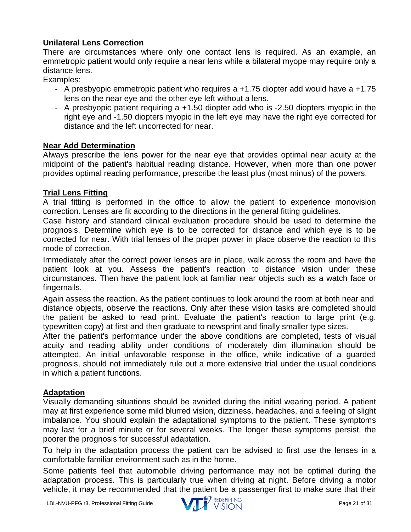# **Unilateral Lens Correction**

There are circumstances where only one contact lens is required. As an example, an emmetropic patient would only require a near lens while a bilateral myope may require only a distance lens.

Examples:

- A presbyopic emmetropic patient who requires a +1.75 diopter add would have a +1.75 lens on the near eye and the other eye left without a lens.
- A presbyopic patient requiring a +1.50 diopter add who is -2.50 diopters myopic in the right eye and -1.50 diopters myopic in the left eye may have the right eye corrected for distance and the left uncorrected for near.

# <span id="page-20-0"></span>**Near Add Determination**

Always prescribe the lens power for the near eye that provides optimal near acuity at the midpoint of the patient's habitual reading distance. However, when more than one power provides optimal reading performance, prescribe the least plus (most minus) of the powers.

# <span id="page-20-1"></span>**Trial Lens Fitting**

A trial fitting is performed in the office to allow the patient to experience monovision correction. Lenses are fit according to the directions in the general fitting guidelines.

Case history and standard clinical evaluation procedure should be used to determine the prognosis. Determine which eye is to be corrected for distance and which eye is to be corrected for near. With trial lenses of the proper power in place observe the reaction to this mode of correction.

Immediately after the correct power lenses are in place, walk across the room and have the patient look at you. Assess the patient's reaction to distance vision under these circumstances. Then have the patient look at familiar near objects such as a watch face or fingernails.

Again assess the reaction. As the patient continues to look around the room at both near and distance objects, observe the reactions. Only after these vision tasks are completed should the patient be asked to read print. Evaluate the patient's reaction to large print (e.g. typewritten copy) at first and then graduate to newsprint and finally smaller type sizes.

After the patient's performance under the above conditions are completed, tests of visual acuity and reading ability under conditions of moderately dim illumination should be attempted. An initial unfavorable response in the office, while indicative of a guarded prognosis, should not immediately rule out a more extensive trial under the usual conditions in which a patient functions.

# <span id="page-20-2"></span>**Adaptation**

Visually demanding situations should be avoided during the initial wearing period. A patient may at first experience some mild blurred vision, dizziness, headaches, and a feeling of slight imbalance. You should explain the adaptational symptoms to the patient. These symptoms may last for a brief minute or for several weeks. The longer these symptoms persist, the poorer the prognosis for successful adaptation.

To help in the adaptation process the patient can be advised to first use the lenses in a comfortable familiar environment such as in the home.

Some patients feel that automobile driving performance may not be optimal during the adaptation process. This is particularly true when driving at night. Before driving a motor vehicle, it may be recommended that the patient be a passenger first to make sure that their

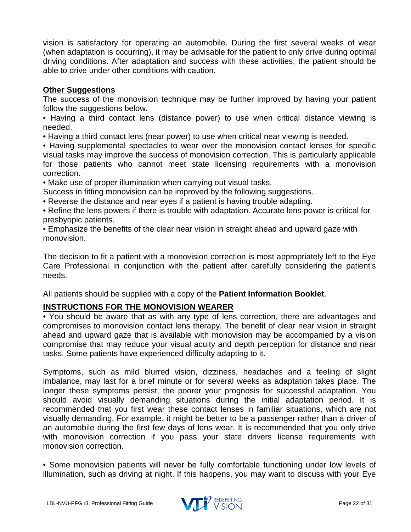vision is satisfactory for operating an automobile. During the first several weeks of wear (when adaptation is occurring), it may be advisable for the patient to only drive during optimal driving conditions. After adaptation and success with these activities, the patient should be able to drive under other conditions with caution.

# <span id="page-21-0"></span>**Other Suggestions**

The success of the monovision technique may be further improved by having your patient follow the suggestions below.

• Having a third contact lens (distance power) to use when critical distance viewing is needed.

• Having a third contact lens (near power) to use when critical near viewing is needed.

• Having supplemental spectacles to wear over the monovision contact lenses for specific visual tasks may improve the success of monovision correction. This is particularly applicable for those patients who cannot meet state licensing requirements with a monovision correction.

• Make use of proper illumination when carrying out visual tasks.

Success in fitting monovision can be improved by the following suggestions.

• Reverse the distance and near eyes if a patient is having trouble adapting.

• Refine the lens powers if there is trouble with adaptation. Accurate lens power is critical for presbyopic patients.

• Emphasize the benefits of the clear near vision in straight ahead and upward gaze with monovision.

The decision to fit a patient with a monovision correction is most appropriately left to the Eye Care Professional in conjunction with the patient after carefully considering the patient's needs.

All patients should be supplied with a copy of the **Patient Information Booklet**.

# <span id="page-21-1"></span>**INSTRUCTIONS FOR THE MONOVISION WEARER**

• You should be aware that as with any type of lens correction, there are advantages and compromises to monovision contact lens therapy. The benefit of clear near vision in straight ahead and upward gaze that is available with monovision may be accompanied by a vision compromise that may reduce your visual acuity and depth perception for distance and near tasks. Some patients have experienced difficulty adapting to it.

Symptoms, such as mild blurred vision, dizziness, headaches and a feeling of slight imbalance, may last for a brief minute or for several weeks as adaptation takes place. The longer these symptoms persist, the poorer your prognosis for successful adaptation. You should avoid visually demanding situations during the initial adaptation period. It is recommended that you first wear these contact lenses in familiar situations, which are not visually demanding. For example, it might be better to be a passenger rather than a driver of an automobile during the first few days of lens wear. It is recommended that you only drive with monovision correction if you pass your state drivers license requirements with monovision correction.

• Some monovision patients will never be fully comfortable functioning under low levels of illumination, such as driving at night. If this happens, you may want to discuss with your Eye

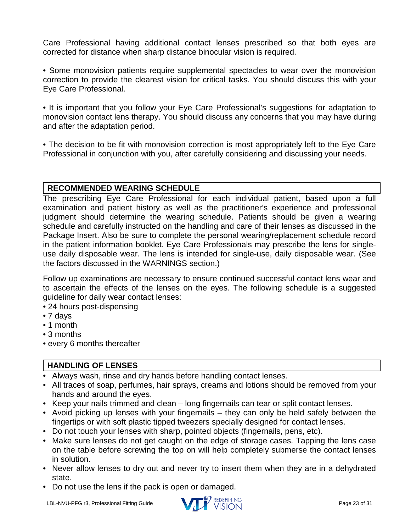Care Professional having additional contact lenses prescribed so that both eyes are corrected for distance when sharp distance binocular vision is required.

• Some monovision patients require supplemental spectacles to wear over the monovision correction to provide the clearest vision for critical tasks. You should discuss this with your Eye Care Professional.

• It is important that you follow your Eye Care Professional's suggestions for adaptation to monovision contact lens therapy. You should discuss any concerns that you may have during and after the adaptation period.

• The decision to be fit with monovision correction is most appropriately left to the Eye Care Professional in conjunction with you, after carefully considering and discussing your needs.

# <span id="page-22-0"></span>**RECOMMENDED WEARING SCHEDULE**

The prescribing Eye Care Professional for each individual patient, based upon a full examination and patient history as well as the practitioner's experience and professional judgment should determine the wearing schedule. Patients should be given a wearing schedule and carefully instructed on the handling and care of their lenses as discussed in the Package Insert. Also be sure to complete the personal wearing/replacement schedule record in the patient information booklet. Eye Care Professionals may prescribe the lens for singleuse daily disposable wear. The lens is intended for single-use, daily disposable wear. (See the factors discussed in the WARNINGS section.)

Follow up examinations are necessary to ensure continued successful contact lens wear and to ascertain the effects of the lenses on the eyes. The following schedule is a suggested guideline for daily wear contact lenses:

• 24 hours post-dispensing

- 7 days
- 1 month
- 3 months
- every 6 months thereafter

# <span id="page-22-1"></span>**HANDLING OF LENSES**

- Always wash, rinse and dry hands before handling contact lenses.
- All traces of soap, perfumes, hair sprays, creams and lotions should be removed from your hands and around the eyes.
- Keep your nails trimmed and clean long fingernails can tear or split contact lenses.
- Avoid picking up lenses with your fingernails they can only be held safely between the fingertips or with soft plastic tipped tweezers specially designed for contact lenses.
- Do not touch your lenses with sharp, pointed objects (fingernails, pens, etc).
- Make sure lenses do not get caught on the edge of storage cases. Tapping the lens case on the table before screwing the top on will help completely submerse the contact lenses in solution.
- Never allow lenses to dry out and never try to insert them when they are in a dehydrated state.
- Do not use the lens if the pack is open or damaged.

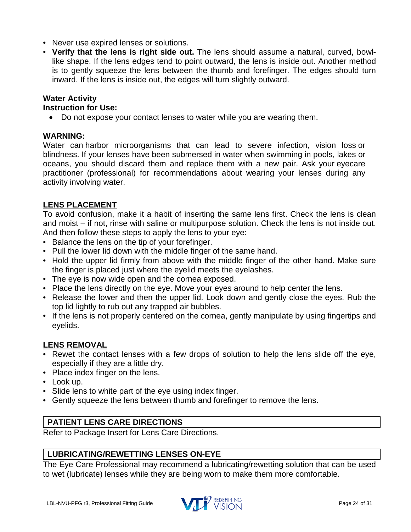- Never use expired lenses or solutions.
- **Verify that the lens is right side out.** The lens should assume a natural, curved, bowllike shape. If the lens edges tend to point outward, the lens is inside out. Another method is to gently squeeze the lens between the thumb and forefinger. The edges should turn inward. If the lens is inside out, the edges will turn slightly outward.

#### **Water Activity Instruction for Use:**

• Do not expose your contact lenses to water while you are wearing them.

# **WARNING:**

Water can harbor microorganisms that can lead to severe infection, vision loss or blindness. If your lenses have been submersed in water when swimming in pools, lakes or oceans, you should discard them and replace them with a new pair. Ask your eyecare practitioner (professional) for recommendations about wearing your lenses during any activity involving water.

# <span id="page-23-0"></span>**LENS PLACEMENT**

To avoid confusion, make it a habit of inserting the same lens first. Check the lens is clean and moist – if not, rinse with saline or multipurpose solution. Check the lens is not inside out. And then follow these steps to apply the lens to your eye:

- Balance the lens on the tip of your forefinger.
- Pull the lower lid down with the middle finger of the same hand.
- Hold the upper lid firmly from above with the middle finger of the other hand. Make sure the finger is placed just where the eyelid meets the eyelashes.
- The eye is now wide open and the cornea exposed.
- Place the lens directly on the eye. Move your eyes around to help center the lens.
- Release the lower and then the upper lid. Look down and gently close the eyes. Rub the top lid lightly to rub out any trapped air bubbles.
- If the lens is not properly centered on the cornea, gently manipulate by using fingertips and eyelids.

# <span id="page-23-1"></span>**LENS REMOVAL**

- Rewet the contact lenses with a few drops of solution to help the lens slide off the eye, especially if they are a little dry.
- Place index finger on the lens.
- Look up.
- Slide lens to white part of the eye using index finger.
- Gently squeeze the lens between thumb and forefinger to remove the lens.

# <span id="page-23-2"></span>**PATIENT LENS CARE DIRECTIONS**

Refer to Package Insert for Lens Care Directions.

# <span id="page-23-3"></span>**LUBRICATING/REWETTING LENSES ON-EYE**

The Eye Care Professional may recommend a lubricating/rewetting solution that can be used to wet (lubricate) lenses while they are being worn to make them more comfortable.

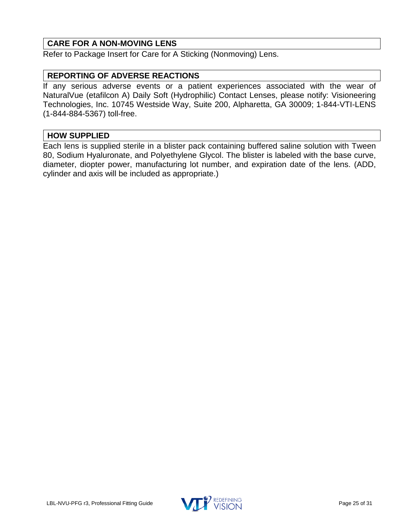# <span id="page-24-0"></span>**CARE FOR A NON-MOVING LENS**

Refer to Package Insert for Care for A Sticking (Nonmoving) Lens.

### <span id="page-24-1"></span>**REPORTING OF ADVERSE REACTIONS**

If any serious adverse events or a patient experiences associated with the wear of NaturalVue (etafilcon A) Daily Soft (Hydrophilic) Contact Lenses, please notify: Visioneering Technologies, Inc. 10745 Westside Way, Suite 200, Alpharetta, GA 30009; 1-844-VTI-LENS (1-844-884-5367) toll-free.

#### <span id="page-24-2"></span>**HOW SUPPLIED**

Each lens is supplied sterile in a blister pack containing buffered saline solution with Tween 80, Sodium Hyaluronate, and Polyethylene Glycol. The blister is labeled with the base curve, diameter, diopter power, manufacturing lot number, and expiration date of the lens. (ADD, cylinder and axis will be included as appropriate.)

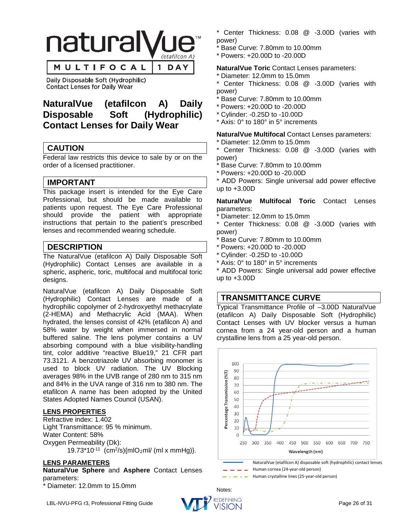

Daily Disposable Soft (Hydrophilic) **Contact Lenses for Daily Wear** 

# **NaturalVue (etafilcon A) Daily Disposable Soft (Hydrophilic) Contact Lenses for Daily Wear**

# <span id="page-25-0"></span>**CAUTION**

Federal law restricts this device to sale by or on the order of a licensed practitioner.

# <span id="page-25-1"></span>**IMPORTANT**

This package insert is intended for the Eye Care Professional, but should be made available to patients upon request. The Eye Care Professional should provide the patient with appropriate instructions that pertain to the patient's prescribed lenses and recommended wearing schedule.

### <span id="page-25-2"></span>**DESCRIPTION**

The NaturalVue (etafilcon A) Daily Disposable Soft (Hydrophilic) Contact Lenses are available in a spheric, aspheric, toric, multifocal and multifocal toric designs.

NaturalVue (etafilcon A) Daily Disposable Soft (Hydrophilic) Contact Lenses are made of a hydrophilic copolymer of 2-hydroxyethyl methacrylate (2-HEMA) and Methacrylic Acid (MAA). When hydrated, the lenses consist of 42% (etafilcon A) and 58% water by weight when immersed in normal buffered saline. The lens polymer contains a UV absorbing compound with a blue visibility-handling tint, color additive "reactive Blue19," 21 CFR part 73.3121. A benzotriazole UV absorbing monomer is used to block UV radiation. The UV Blocking averages 98% in the UVB range of 280 nm to 315 nm and 84% in the UVA range of 316 nm to 380 nm. The etafilcon A name has been adopted by the United States Adopted Names Council (USAN).

#### **LENS PROPERTIES**

Refractive index: 1.402 Light Transmittance: 95 % minimum. Water Content: 58% Oxygen Permeability (Dk): 19.73\*10-11 (cm2/s){mlO2ml/ (ml x mmHg)}.

#### **LENS PARAMETERS**

**NaturalVue Sphere** and **Asphere** Contact Lenses parameters:

\* Diameter: 12.0mm to 15.0mm

- \* Center Thickness: 0.08 @ -3.00D (varies with power)
- Base Curve: 7.80mm to 10.00mm
- \* Powers: +20.00D to -20.00D

#### **NaturalVue Toric** Contact Lenses parameters:

\* Diameter: 12.0mm to 15.0mm

\* Center Thickness: 0.08 @ -3.00D (varies with power)

- Base Curve: 7.80mm to 10.00mm
- \* Powers: +20.00D to -20.00D
- \* Cylinder: -0.25D to -10.00D
- \* Axis: 0° to 180° in 5° increments

**NaturalVue Multifocal** Contact Lenses parameters:

Diameter: 12.0mm to 15.0mm

Center Thickness: 0.08 @ -3.00D (varies with power)

- Base Curve: 7.80mm to 10.00mm
- \* Powers: +20.00D to -20.00D

\* ADD Powers: Single universal add power effective up to +3.00D

**NaturalVue Multifocal Toric** Contact Lenses parameters:

Diameter: 12.0mm to 15.0mm

\* Center Thickness: 0.08 @ -3.00D (varies with power)

- Base Curve: 7.80mm to 10.00mm
- \* Powers: +20.00D to -20.00D
- \* Cylinder: -0.25D to -10.00D
- \* Axis: 0° to 180° in 5° increments

\* ADD Powers: Single universal add power effective up to  $+3.00D$ 

#### <span id="page-25-3"></span>**TRANSMITTANCE CURVE**

Typical Transmittance Profile of –3.00D NaturalVue (etafilcon A) Daily Disposable Soft (Hydrophilic) Contact Lenses with UV blocker versus a human cornea from a 24 year-old person and a human crystalline lens from a 25 year-old person.





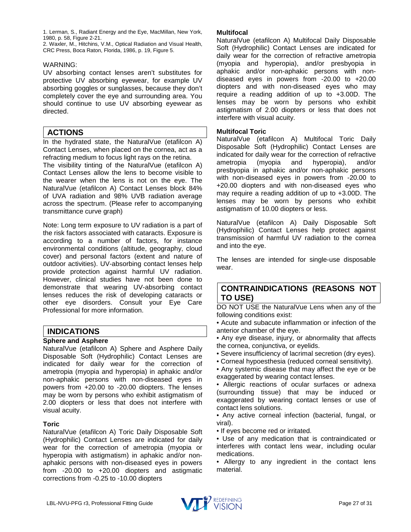1. Lerman, S., Radiant Energy and the Eye, MacMillan, New York, 1980, p. 58, Figure 2-21.

2. Waxler, M., Hitchins, V.M., Optical Radiation and Visual Health, CRC Press, Boca Raton, Florida, 1986, p. 19, Figure 5.

#### WARNING:

UV absorbing contact lenses aren't substitutes for protective UV absorbing eyewear, for example UV absorbing goggles or sunglasses, because they don't completely cover the eye and surrounding area. You should continue to use UV absorbing eyewear as directed.

# <span id="page-26-0"></span>**ACTIONS**

In the hydrated state, the NaturalVue (etafilcon A) Contact Lenses, when placed on the cornea, act as a refracting medium to focus light rays on the retina.

The visibility tinting of the NaturalVue (etafilcon A) Contact Lenses allow the lens to become visible to the wearer when the lens is not on the eye. The NaturalVue (etafilcon A) Contact Lenses block 84% of UVA radiation and 98% UVB radiation average across the spectrum. (Please refer to accompanying transmittance curve graph)

Note: Long term exposure to UV radiation is a part of the risk factors associated with cataracts. Exposure is according to a number of factors, for instance environmental conditions (altitude, geography, cloud cover) and personal factors (extent and nature of outdoor activities). UV-absorbing contact lenses help provide protection against harmful UV radiation. However, clinical studies have not been done to demonstrate that wearing UV-absorbing contact lenses reduces the risk of developing cataracts or other eye disorders. Consult your Eye Care Professional for more information.

#### <span id="page-26-1"></span>**INDICATIONS**

#### **Sphere and Asphere**

NaturalVue (etafilcon A) Sphere and Asphere Daily Disposable Soft (Hydrophilic) Contact Lenses are indicated for daily wear for the correction of ametropia (myopia and hyperopia) in aphakic and/or non-aphakic persons with non-diseased eyes in powers from +20.00 to -20.00 diopters. The lenses may be worn by persons who exhibit astigmatism of 2.00 diopters or less that does not interfere with visual acuity.

#### **Toric**

NaturalVue (etafilcon A) Toric Daily Disposable Soft (Hydrophilic) Contact Lenses are indicated for daily wear for the correction of ametropia (myopia or hyperopia with astigmatism) in aphakic and/or nonaphakic persons with non-diseased eyes in powers from -20.00 to +20.00 diopters and astigmatic corrections from -0.25 to -10.00 diopters

#### **Multifocal**

NaturalVue (etafilcon A) Multifocal Daily Disposable Soft (Hydrophilic) Contact Lenses are indicated for daily wear for the correction of refractive ametropia (myopia and hyperopia), and/or presbyopia in aphakic and/or non-aphakic persons with nondiseased eyes in powers from -20.00 to +20.00 diopters and with non-diseased eyes who may require a reading addition of up to +3.00D. The lenses may be worn by persons who exhibit astigmatism of 2.00 diopters or less that does not interfere with visual acuity.

#### **Multifocal Toric**

NaturalVue (etafilcon A) Multifocal Toric Daily Disposable Soft (Hydrophilic) Contact Lenses are indicated for daily wear for the correction of refractive ametropia (myopia and hyperopia), and/or presbyopia in aphakic and/or non-aphakic persons with non-diseased eyes in powers from -20.00 to +20.00 diopters and with non-diseased eyes who may require a reading addition of up to +3.00D. The lenses may be worn by persons who exhibit astigmatism of 10.00 diopters or less.

NaturalVue (etafilcon A) Daily Disposable Soft (Hydrophilic) Contact Lenses help protect against transmission of harmful UV radiation to the cornea and into the eye.

The lenses are intended for single-use disposable wear.

### <span id="page-26-2"></span>**CONTRAINDICATIONS (REASONS NOT TO USE)**

DO NOT USE the NaturalVue Lens when any of the following conditions exist:

- Acute and subacute inflammation or infection of the anterior chamber of the eye.
- Any eye disease, injury, or abnormality that affects the cornea, conjunctiva, or eyelids.
- Severe insufficiency of lacrimal secretion (dry eyes).
- Corneal hypoesthesia (reduced corneal sensitivity).
- Any systemic disease that may affect the eye or be exaggerated by wearing contact lenses.
- Allergic reactions of ocular surfaces or adnexa (surrounding tissue) that may be induced or exaggerated by wearing contact lenses or use of contact lens solutions.
- Any active corneal infection (bacterial, fungal, or viral).
- If eyes become red or irritated.
- Use of any medication that is contraindicated or interferes with contact lens wear, including ocular medications.
- Allergy to any ingredient in the contact lens material.

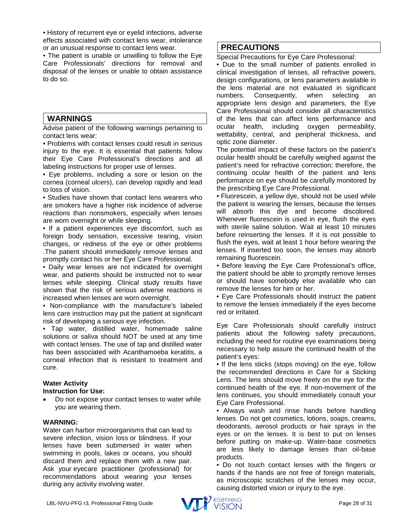• History of recurrent eye or eyelid infections, adverse effects associated with contact lens wear, intolerance or an unusual response to contact lens wear.

• The patient is unable or unwilling to follow the Eye Care Professionals' directions for removal and disposal of the lenses or unable to obtain assistance to do so.

#### <span id="page-27-0"></span>**WARNINGS**

Advise patient of the following warnings pertaining to contact lens wear:

• Problems with contact lenses could result in serious injury to the eye. It is essential that patients follow their Eye Care Professional's directions and all labeling instructions for proper use of lenses.

• Eye problems, including a sore or lesion on the cornea (corneal ulcers), can develop rapidly and lead to loss of vision.

• Studies have shown that contact lens wearers who are smokers have a higher risk incidence of adverse reactions than nonsmokers, especially when lenses are worn overnight or while sleeping.

• If a patient experiences eye discomfort, such as foreign body sensation, excessive tearing, vision changes, or redness of the eye or other problems .The patient should immediately remove lenses and promptly contact his or her Eye Care Professional.

• Daily wear lenses are not indicated for overnight wear, and patients should be instructed not to wear lenses while sleeping. Clinical study results have shown that the risk of serious adverse reactions is increased when lenses are worn overnight.

• Non-compliance with the manufacture's labeled lens care instruction may put the patient at significant risk of developing a serious eye infection.

• Tap water, distilled water, homemade saline solutions or saliva should NOT be used at any time with contact lenses. The use of tap and distilled water has been associated with Acanthamoeba keratitis, a corneal infection that is resistant to treatment and cure.

# **Water Activity**

#### **Instruction for Use:**

• Do not expose your contact lenses to water while you are wearing them.

#### **WARNING:**

Water can harbor microorganisms that can lead to severe infection, vision loss or blindness. If your lenses have been submersed in water when swimming in pools, lakes or oceans, you should discard them and replace them with a new pair. Ask your eyecare practitioner (professional) for recommendations about wearing your lenses during any activity involving water.

### <span id="page-27-1"></span>**PRECAUTIONS**

Special Precautions for Eye Care Professional:

• Due to the small number of patients enrolled in clinical investigation of lenses, all refractive powers, design configurations, or lens parameters available in the lens material are not evaluated in significant numbers. Consequently, when selecting an appropriate lens design and parameters, the Eye Care Professional should consider all characteristics of the lens that can affect lens performance and ocular health, including oxygen permeability, wettability, central, and peripheral thickness, and optic zone diameter.

The potential impact of these factors on the patient's ocular health should be carefully weighed against the patient's need for refractive correction; therefore, the continuing ocular health of the patient and lens performance on eye should be carefully monitored by the prescribing Eye Care Professional.

• Fluorescein, a yellow dye, should not be used while the patient is wearing the lenses, because the lenses will absorb this dye and become discolored. Whenever fluorescein is used in eye, flush the eyes with sterile saline solution. Wait at least 10 minutes before reinserting the lenses. If it is not possible to flush the eyes, wait at least 1 hour before wearing the lenses. If inserted too soon, the lenses may absorb remaining fluorescein.

• Before leaving the Eye Care Professional's office, the patient should be able to promptly remove lenses or should have somebody else available who can remove the lenses for him or her.

• Eye Care Professionals should instruct the patient to remove the lenses immediately if the eyes become red or irritated.

Eye Care Professionals should carefully instruct patients about the following safety precautions, including the need for routine eye examinations being necessary to help assure the continued health of the patient's eyes:

• If the lens sticks (stops moving) on the eye, follow the recommended directions in Care for a Sticking Lens. The lens should move freely on the eye for the continued health of the eye. If non-movement of the lens continues, you should immediately consult your Eye Care Professional.

• Always wash and rinse hands before handling lenses. Do not get cosmetics, lotions, soaps, creams, deodorants, aerosol products or hair sprays in the eyes or on the lenses. It is best to put on lenses before putting on make-up. Water-base cosmetics are less likely to damage lenses than oil-base products.

• Do not touch contact lenses with the fingers or hands if the hands are not free of foreign materials, as microscopic scratches of the lenses may occur, causing distorted vision or injury to the eye.

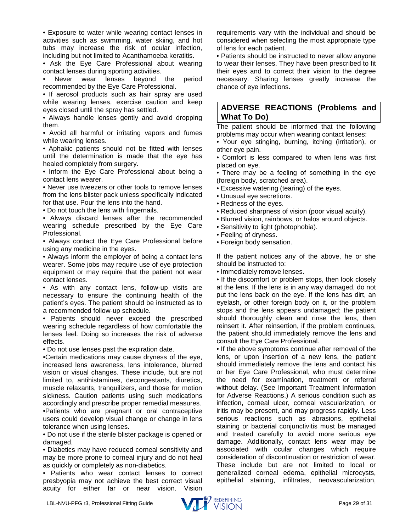• Exposure to water while wearing contact lenses in activities such as swimming, water skiing, and hot tubs may increase the risk of ocular infection, including but not limited to Acanthamoeba keratitis.

• Ask the Eye Care Professional about wearing contact lenses during sporting activities.

Never wear lenses beyond the period recommended by the Eye Care Professional.

• If aerosol products such as hair spray are used while wearing lenses, exercise caution and keep eyes closed until the spray has settled.

• Always handle lenses gently and avoid dropping them.

• Avoid all harmful or irritating vapors and fumes while wearing lenses.

• Aphakic patients should not be fitted with lenses until the determination is made that the eye has healed completely from surgery.

• Inform the Eye Care Professional about being a contact lens wearer.

• Never use tweezers or other tools to remove lenses from the lens blister pack unless specifically indicated for that use. Pour the lens into the hand.

• Do not touch the lens with fingernails.

• Always discard lenses after the recommended wearing schedule prescribed by the Eye Care Professional.

• Always contact the Eye Care Professional before using any medicine in the eyes.

• Always inform the employer of being a contact lens wearer. Some jobs may require use of eye protection equipment or may require that the patient not wear contact lenses.

• As with any contact lens, follow-up visits are necessary to ensure the continuing health of the patient's eyes. The patient should be instructed as to a recommended follow-up schedule.

• Patients should never exceed the prescribed wearing schedule regardless of how comfortable the lenses feel. Doing so increases the risk of adverse effects.

• Do not use lenses past the expiration date.

•Certain medications may cause dryness of the eye, increased lens awareness, lens intolerance, blurred vision or visual changes. These include, but are not limited to, antihistamines, decongestants, diuretics, muscle relaxants, tranquilizers, and those for motion sickness. Caution patients using such medications accordingly and prescribe proper remedial measures.

•Patients who are pregnant or oral contraceptive users could develop visual change or change in lens tolerance when using lenses.

• Do not use if the sterile blister package is opened or damaged.

• Diabetics may have reduced corneal sensitivity and may be more prone to corneal injury and do not heal as quickly or completely as non-diabetics.

• Patients who wear contact lenses to correct presbyopia may not achieve the best correct visual acuity for either far or near vision. Vision

requirements vary with the individual and should be considered when selecting the most appropriate type of lens for each patient.

• Patients should be instructed to never allow anyone to wear their lenses. They have been prescribed to fit their eyes and to correct their vision to the degree necessary. Sharing lenses greatly increase the chance of eye infections.

#### <span id="page-28-0"></span>**ADVERSE REACTIONS (Problems and What To Do)**

The patient should be informed that the following problems may occur when wearing contact lenses:

• Your eye stinging, burning, itching (irritation), or other eye pain.

• Comfort is less compared to when lens was first placed on eye.

• There may be a feeling of something in the eye (foreign body, scratched area).

• Excessive watering (tearing) of the eyes.

- Unusual eye secretions.
- Redness of the eyes.
- Reduced sharpness of vision (poor visual acuity).
- Blurred vision, rainbows, or halos around objects.
- Sensitivity to light (photophobia).
- Feeling of dryness.
- Foreign body sensation.

If the patient notices any of the above, he or she should be instructed to:

• Immediately remove lenses.

• If the discomfort or problem stops, then look closely at the lens. If the lens is in any way damaged, do not put the lens back on the eye. If the lens has dirt, an eyelash, or other foreign body on it, or the problem stops and the lens appears undamaged; the patient should thoroughly clean and rinse the lens, then reinsert it. After reinsertion, if the problem continues, the patient should immediately remove the lens and consult the Eye Care Professional.

• If the above symptoms continue after removal of the lens, or upon insertion of a new lens, the patient should immediately remove the lens and contact his or her Eye Care Professional, who must determine the need for examination, treatment or referral without delay. (See Important Treatment Information for Adverse Reactions.) A serious condition such as infection, corneal ulcer, corneal vascularization, or iritis may be present, and may progress rapidly. Less serious reactions such as abrasions, epithelial staining or bacterial conjunctivitis must be managed and treated carefully to avoid more serious eye damage. Additionally, contact lens wear may be associated with ocular changes which require consideration of discontinuation or restriction of wear. These include but are not limited to local or generalized corneal edema, epithelial microcysts, epithelial staining, infiltrates, neovascularization,

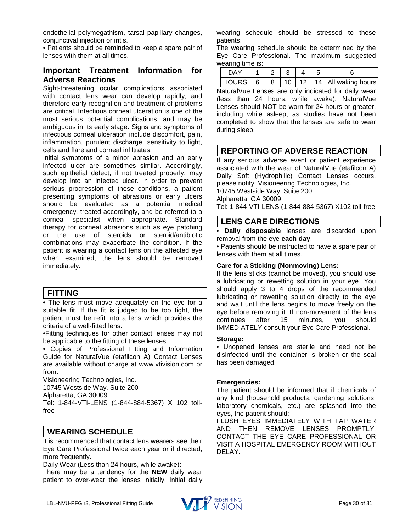endothelial polymegathism, tarsal papillary changes, conjunctival injection or iritis.

• Patients should be reminded to keep a spare pair of lenses with them at all times.

### **Important Treatment Information for Adverse Reactions**

Sight-threatening ocular complications associated with contact lens wear can develop rapidly, and therefore early recognition and treatment of problems are critical. Infectious corneal ulceration is one of the most serious potential complications, and may be ambiguous in its early stage. Signs and symptoms of infectious corneal ulceration include discomfort, pain, inflammation, purulent discharge, sensitivity to light, cells and flare and corneal infiltrates.

Initial symptoms of a minor abrasion and an early infected ulcer are sometimes similar. Accordingly, such epithelial defect, if not treated properly, may develop into an infected ulcer. In order to prevent serious progression of these conditions, a patient presenting symptoms of abrasions or early ulcers should be evaluated as a potential medical emergency, treated accordingly, and be referred to a corneal specialist when appropriate. Standard therapy for corneal abrasions such as eye patching or the use of steroids or steroid/antibiotic combinations may exacerbate the condition. If the patient is wearing a contact lens on the affected eye when examined, the lens should be removed immediately.

# <span id="page-29-0"></span>**FITTING**

• The lens must move adequately on the eye for a suitable fit. If the fit is judged to be too tight, the patient must be refit into a lens which provides the criteria of a well-fitted lens.

•Fitting techniques for other contact lenses may not be applicable to the fitting of these lenses.

• Copies of Professional Fitting and Information Guide for NaturalVue (etafilcon A) Contact Lenses are available without charge at www.vtivision.com or from:

Visioneering Technologies, Inc.

10745 Westside Way, Suite 200

Alpharetta, GA 30009

Tel: 1-844-VTI-LENS (1-844-884-5367) X 102 tollfree

# <span id="page-29-1"></span>**WEARING SCHEDULE**

It is recommended that contact lens wearers see their Eye Care Professional twice each year or if directed, more frequently.

Daily Wear (Less than 24 hours, while awake):

There may be a tendency for the **NEW** daily wear patient to over-wear the lenses initially. Initial daily wearing schedule should be stressed to these patients.

The wearing schedule should be determined by the Eye Care Professional. The maximum suggested wearing time is:

| <b>DAY</b> |  |  |                                                 |
|------------|--|--|-------------------------------------------------|
|            |  |  | HOURS   6   8   10   12   14   All waking hours |

NaturalVue Lenses are only indicated for daily wear (less than 24 hours, while awake). NaturalVue Lenses should NOT be worn for 24 hours or greater, including while asleep, as studies have not been completed to show that the lenses are safe to wear during sleep.

# <span id="page-29-2"></span>**REPORTING OF ADVERSE REACTION**

If any serious adverse event or patient experience associated with the wear of NaturalVue (etafilcon A) Daily Soft (Hydrophilic) Contact Lenses occurs, please notify: Visioneering Technologies, Inc. 10745 Westside Way, Suite 200 Alpharetta, GA 30009 Tel: 1-844-VTI-LENS (1-844-884-5367) X102 toll-free

### <span id="page-29-3"></span>**LENS CARE DIRECTIONS**

• **Daily disposable** lenses are discarded upon removal from the eye **each day**.

• Patients should be instructed to have a spare pair of lenses with them at all times.

#### **Care for a Sticking (Nonmoving) Lens:**

If the lens sticks (cannot be moved), you should use a lubricating or rewetting solution in your eye. You should apply 3 to 4 drops of the recommended lubricating or rewetting solution directly to the eye and wait until the lens begins to move freely on the eye before removing it. If non-movement of the lens continues after 15 minutes, you should IMMEDIATELY consult your Eye Care Professional.

#### **Storage:**

• Unopened lenses are sterile and need not be disinfected until the container is broken or the seal has been damaged.

#### **Emergencies:**

The patient should be informed that if chemicals of any kind (household products, gardening solutions, laboratory chemicals, etc.) are splashed into the eyes, the patient should:

FLUSH EYES IMMEDIATELY WITH TAP WATER AND THEN REMOVE LENSES PROMPTLY. CONTACT THE EYE CARE PROFESSIONAL OR VISIT A HOSPITAL EMERGENCY ROOM WITHOUT DELAY.